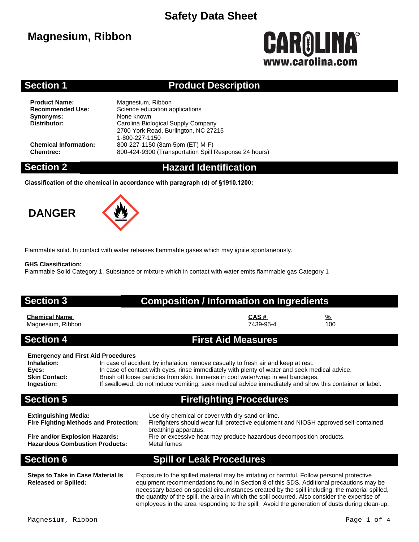## **Magnesium, Ribbon**

# CAROLINA® www.carolina.co

### **Section 1 Product Description**

**Product Name:** Magnesium, Ribbon<br> **Recommended Use:** Science education a **Synonyms:** None known<br> **Distributor:** Carolina Biol

**Science education applications Distributor:** Carolina Biological Supply Company 2700 York Road, Burlington, NC 27215 1-800-227-1150 **Chemical Information:** 800-227-1150 (8am-5pm (ET) M-F) **Chemtrec:** 800-424-9300 (Transportation Spill Response 24 hours)

### **Section 2 Hazard Identification**

**Classification of the chemical in accordance with paragraph (d) of §1910.1200;**

## **DANGER**



Flammable solid. In contact with water releases flammable gases which may ignite spontaneously.

### **GHS Classification:**

Flammable Solid Category 1, Substance or mixture which in contact with water emits flammable gas Category 1

### **Section 3 Composition / Information on Ingredients**

# **Chemical Name CAS # %**

Magnesium, Ribbon

### **Section 4 First Aid Measures**

### **Emergency and First Aid Procedures**

| Inhalation:   | In case of accident by inhalation: remove casualty to fresh air and keep at rest.                       |
|---------------|---------------------------------------------------------------------------------------------------------|
| Eyes:         | In case of contact with eyes, rinse immediately with plenty of water and seek medical advice.           |
| Skin Contact: | Brush off loose particles from skin. Immerse in cool water/wrap in wet bandages.                        |
| Ingestion:    | If swallowed, do not induce vomiting: seek medical advice immediately and show this container or label. |
|               |                                                                                                         |

### **Section 5 Firefighting Procedures**

| <b>Extinguishing Media:</b><br><b>Fire Fighting Methods and Protection:</b> | Use dry chemical or cover with dry sand or lime.<br>Firefighters should wear full protective equipment and NIOSH approved self-contained<br>breathing apparatus. |
|-----------------------------------------------------------------------------|------------------------------------------------------------------------------------------------------------------------------------------------------------------|
| Fire and/or Explosion Hazards:                                              | Fire or excessive heat may produce hazardous decomposition products.                                                                                             |
| <b>Hazardous Combustion Products:</b>                                       | Metal fumes                                                                                                                                                      |

**Steps to Take in Case Material Is Released or Spilled:**

### **Section 6 Spill or Leak Procedures**

Exposure to the spilled material may be irritating or harmful. Follow personal protective equipment recommendations found in Section 8 of this SDS. Additional precautions may be necessary based on special circumstances created by the spill including; the material spilled, the quantity of the spill, the area in which the spill occurred. Also consider the expertise of employees in the area responding to the spill. Avoid the generation of dusts during clean-up.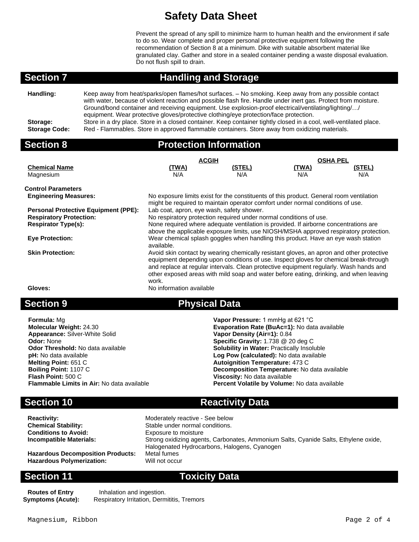Prevent the spread of any spill to minimize harm to human health and the environment if safe to do so. Wear complete and proper personal protective equipment following the recommendation of Section 8 at a minimum. Dike with suitable absorbent material like granulated clay. Gather and store in a sealed container pending a waste disposal evaluation. Do not flush spill to drain.

# **Section 7 Handling and Storage**

| Handling:                        | Keep away from heat/sparks/open flames/hot surfaces. - No smoking. Keep away from any possible contact<br>with water, because of violent reaction and possible flash fire. Handle under inert gas. Protect from moisture.<br>Ground/bond container and receiving equipment. Use explosion-proof electrical/ventilating/lighting// |
|----------------------------------|-----------------------------------------------------------------------------------------------------------------------------------------------------------------------------------------------------------------------------------------------------------------------------------------------------------------------------------|
| Storage:<br><b>Storage Code:</b> | equipment. Wear protective gloves/protective clothing/eye protection/face protection.<br>Store in a dry place. Store in a closed container. Keep container tightly closed in a cool, well-ventilated place.<br>Red - Flammables. Store in approved flammable containers. Store away from oxidizing materials.                     |

| <b>Section 8</b>                            | <b>Protection Information</b>                                                                                                                                                   |               |                 |               |
|---------------------------------------------|---------------------------------------------------------------------------------------------------------------------------------------------------------------------------------|---------------|-----------------|---------------|
|                                             | <b>ACGIH</b>                                                                                                                                                                    |               | <b>OSHA PEL</b> |               |
| <b>Chemical Name</b>                        | <u>(TWA)</u>                                                                                                                                                                    | <u>(STEL)</u> | <u>(TWA)</u>    | <u>(STEL)</u> |
| Magnesium                                   | N/A                                                                                                                                                                             | N/A           | N/A             | N/A           |
| <b>Control Parameters</b>                   |                                                                                                                                                                                 |               |                 |               |
| <b>Engineering Measures:</b>                | No exposure limits exist for the constituents of this product. General room ventilation<br>might be required to maintain operator comfort under normal conditions of use.       |               |                 |               |
| <b>Personal Protective Equipment (PPE):</b> | Lab coat, apron, eye wash, safety shower.                                                                                                                                       |               |                 |               |
| <b>Respiratory Protection:</b>              | No respiratory protection required under normal conditions of use.                                                                                                              |               |                 |               |
| <b>Respirator Type(s):</b>                  | None required where adequate ventilation is provided. If airborne concentrations are                                                                                            |               |                 |               |
|                                             | above the applicable exposure limits, use NIOSH/MSHA approved respiratory protection.                                                                                           |               |                 |               |
| <b>Eye Protection:</b>                      | Wear chemical splash goggles when handling this product. Have an eye wash station<br>available.                                                                                 |               |                 |               |
| <b>Skin Protection:</b>                     | Avoid skin contact by wearing chemically resistant gloves, an apron and other protective                                                                                        |               |                 |               |
|                                             | equipment depending upon conditions of use. Inspect gloves for chemical break-through<br>and replace at regular intervals. Clean protective equipment regularly. Wash hands and |               |                 |               |
|                                             |                                                                                                                                                                                 |               |                 |               |
|                                             | other exposed areas with mild soap and water before eating, drinking, and when leaving<br>work.                                                                                 |               |                 |               |
| Gloves:                                     | No information available                                                                                                                                                        |               |                 |               |
|                                             |                                                                                                                                                                                 |               |                 |               |

### **Section 9 Physical Data**

| <b>Formula: Mg</b>                                | Vapor Pressure: 1 mmHg at 621 °C                  |
|---------------------------------------------------|---------------------------------------------------|
| <b>Molecular Weight: 24.30</b>                    | Evaporation Rate (BuAc=1): No data available      |
| <b>Appearance: Silver-White Solid</b>             | Vapor Density (Air=1): 0.84                       |
| <b>Odor: None</b>                                 | Specific Gravity: 1.738 @ 20 deg C                |
| <b>Odor Threshold: No data available</b>          | <b>Solubility in Water: Practically Insoluble</b> |
| pH: No data available                             | Log Pow (calculated): No data available           |
| Melting Point: 651 C                              | <b>Autoignition Temperature: 473 C</b>            |
| <b>Boiling Point: 1107 C</b>                      | Decomposition Temperature: No data available      |
| Flash Point: 500 C                                | Viscosity: No data available                      |
| <b>Flammable Limits in Air: No data available</b> | Percent Volatile by Volume: No data available     |

# **Section 10 Reactivity Data**

| <b>Reactivity:</b>                       | Moderately reactive - See below                                                     |
|------------------------------------------|-------------------------------------------------------------------------------------|
| <b>Chemical Stability:</b>               | Stable under normal conditions.                                                     |
| <b>Conditions to Avoid:</b>              | Exposure to moisture                                                                |
| <b>Incompatible Materials:</b>           | Strong oxidizing agents, Carbonates, Ammonium Salts, Cyanide Salts, Ethylene oxide, |
|                                          | Halogenated Hydrocarbons, Halogens, Cyanogen                                        |
| <b>Hazardous Decomposition Products:</b> | Metal fumes                                                                         |
| <b>Hazardous Polymerization:</b>         | Will not occur                                                                      |

### **Section 11 Toxicity Data**

**Routes of Entry** Inhalation and ingestion.<br>**Symptoms (Acute):** Respiratory Irritation, Derm Respiratory Irritation, Dermititis, Tremors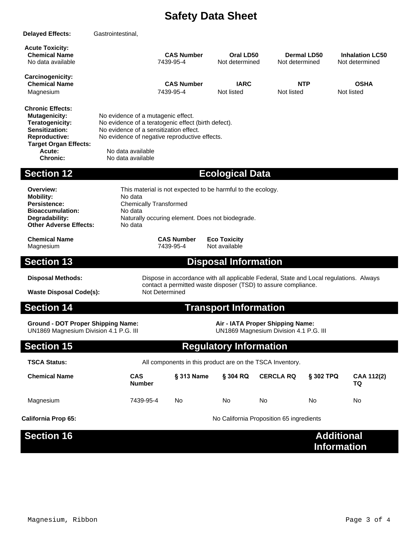| <b>Delayed Effects:</b>                                                                                                                                                   | Gastrointestinal,                                                                                                                                                 |                                                                                                                                                                                                                                |                             |                                          |                                         |                                          |
|---------------------------------------------------------------------------------------------------------------------------------------------------------------------------|-------------------------------------------------------------------------------------------------------------------------------------------------------------------|--------------------------------------------------------------------------------------------------------------------------------------------------------------------------------------------------------------------------------|-----------------------------|------------------------------------------|-----------------------------------------|------------------------------------------|
| <b>Acute Toxicity:</b><br><b>Chemical Name</b><br>No data available                                                                                                       |                                                                                                                                                                   | <b>CAS Number</b><br>7439-95-4                                                                                                                                                                                                 | Oral LD50<br>Not determined | Not determined                           | <b>Dermal LD50</b>                      | <b>Inhalation LC50</b><br>Not determined |
| Carcinogenicity:<br><b>Chemical Name</b><br>Magnesium                                                                                                                     |                                                                                                                                                                   | <b>CAS Number</b><br>7439-95-4                                                                                                                                                                                                 | <b>IARC</b><br>Not listed   | Not listed                               | <b>NTP</b>                              | <b>OSHA</b><br>Not listed                |
| <b>Chronic Effects:</b><br><b>Mutagenicity:</b><br>Teratogenicity:<br>Sensitization:<br><b>Reproductive:</b><br><b>Target Organ Effects:</b><br>Acute:<br><b>Chronic:</b> |                                                                                                                                                                   | No evidence of a mutagenic effect.<br>No evidence of a teratogenic effect (birth defect).<br>No evidence of a sensitization effect.<br>No evidence of negative reproductive effects.<br>No data available<br>No data available |                             |                                          |                                         |                                          |
| <b>Section 12</b>                                                                                                                                                         |                                                                                                                                                                   |                                                                                                                                                                                                                                | <b>Ecological Data</b>      |                                          |                                         |                                          |
| Overview:<br><b>Mobility:</b><br>Persistence:<br><b>Bioaccumulation:</b><br>Degradability:<br><b>Other Adverse Effects:</b>                                               | No data<br>No data<br>No data                                                                                                                                     | This material is not expected to be harmful to the ecology.<br><b>Chemically Transformed</b><br>Naturally occuring element. Does not biodegrade.                                                                               |                             |                                          |                                         |                                          |
| <b>Chemical Name</b><br>Magnesium                                                                                                                                         |                                                                                                                                                                   | <b>CAS Number</b><br><b>Eco Toxicity</b><br>Not available<br>7439-95-4                                                                                                                                                         |                             |                                          |                                         |                                          |
| <b>Section 13</b>                                                                                                                                                         |                                                                                                                                                                   |                                                                                                                                                                                                                                | <b>Disposal Information</b> |                                          |                                         |                                          |
| <b>Disposal Methods:</b><br><b>Waste Disposal Code(s):</b>                                                                                                                |                                                                                                                                                                   | Dispose in accordance with all applicable Federal, State and Local regulations. Always<br>contact a permitted waste disposer (TSD) to assure compliance.<br>Not Determined                                                     |                             |                                          |                                         |                                          |
| <b>Section 14</b>                                                                                                                                                         |                                                                                                                                                                   | <b>Transport Information</b>                                                                                                                                                                                                   |                             |                                          |                                         |                                          |
|                                                                                                                                                                           | <b>Ground - DOT Proper Shipping Name:</b><br>Air - IATA Proper Shipping Name:<br>UN1869 Magnesium Division 4.1 P.G. III<br>UN1869 Magnesium Division 4.1 P.G. III |                                                                                                                                                                                                                                |                             |                                          |                                         |                                          |
| <b>Section 15</b>                                                                                                                                                         | <b>Regulatory Information</b>                                                                                                                                     |                                                                                                                                                                                                                                |                             |                                          |                                         |                                          |
| <b>TSCA Status:</b>                                                                                                                                                       |                                                                                                                                                                   | All components in this product are on the TSCA Inventory.                                                                                                                                                                      |                             |                                          |                                         |                                          |
| <b>Chemical Name</b>                                                                                                                                                      | <b>CAS</b><br><b>Number</b>                                                                                                                                       | § 313 Name                                                                                                                                                                                                                     | § 304 RQ                    | <b>CERCLA RQ</b>                         | § 302 TPQ                               | CAA 112(2)<br><b>TQ</b>                  |
| Magnesium                                                                                                                                                                 | 7439-95-4                                                                                                                                                         | No.                                                                                                                                                                                                                            | No                          | No                                       | No                                      | No                                       |
| <b>California Prop 65:</b>                                                                                                                                                |                                                                                                                                                                   |                                                                                                                                                                                                                                |                             | No California Proposition 65 ingredients |                                         |                                          |
| <b>Section 16</b>                                                                                                                                                         |                                                                                                                                                                   |                                                                                                                                                                                                                                |                             |                                          | <b>Additional</b><br><b>Information</b> |                                          |